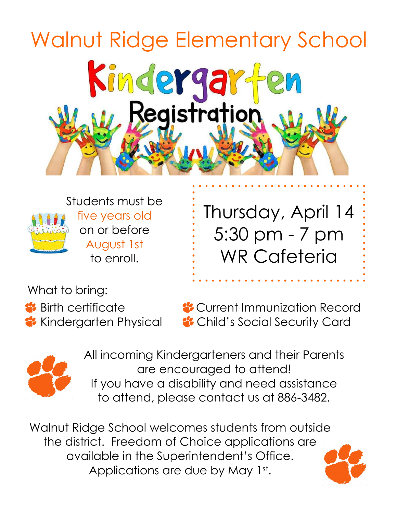# Walnut Ridge Elementary SchoolKindergard<br>W. Registration



Students must be five years old on or before August 1st to enroll.

Thursday, April 14 5:30 pm - 7 pm WR Cafeteria

What to bring:

**Birth certificate Current Immunization Record Child's Social Security Card** Child's Social Security Card



All incoming Kindergarteners and their Parents are encouraged to attend! If you have a disability and need assistance to attend, please contact us at 886-3482.

Walnut Ridge School welcomes students from outside the district. Freedom of Choice applications are available in the Superintendent's Office. Applications are due by May 1st.

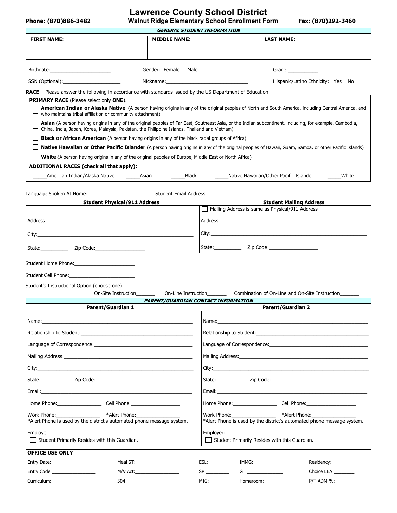### **Lawrence County School District**

**Phone: (870)886-3482 Walnut Ridge Elementary School Enrollment Form Fax: (870)292-3460**

| <b>GENERAL STUDENT INFORMATION</b>                                                                                                                                                                                                                                                                                        |                     |                                                                                                                |                                                 |                                                                        |  |  |
|---------------------------------------------------------------------------------------------------------------------------------------------------------------------------------------------------------------------------------------------------------------------------------------------------------------------------|---------------------|----------------------------------------------------------------------------------------------------------------|-------------------------------------------------|------------------------------------------------------------------------|--|--|
| <b>FIRST NAME:</b>                                                                                                                                                                                                                                                                                                        | <b>MIDDLE NAME:</b> |                                                                                                                | <b>LAST NAME:</b>                               |                                                                        |  |  |
|                                                                                                                                                                                                                                                                                                                           |                     |                                                                                                                |                                                 |                                                                        |  |  |
|                                                                                                                                                                                                                                                                                                                           |                     |                                                                                                                |                                                 |                                                                        |  |  |
|                                                                                                                                                                                                                                                                                                                           | Gender: Female Male |                                                                                                                | Grade: Carrier Contractor                       |                                                                        |  |  |
|                                                                                                                                                                                                                                                                                                                           |                     |                                                                                                                |                                                 | Hispanic/Latino Ethnicity: Yes No                                      |  |  |
| <b>RACE</b> Please answer the following in accordance with standards issued by the US Department of Education.                                                                                                                                                                                                            |                     |                                                                                                                |                                                 |                                                                        |  |  |
| <b>PRIMARY RACE</b> (Please select only ONE).                                                                                                                                                                                                                                                                             |                     |                                                                                                                |                                                 |                                                                        |  |  |
| <b>American Indian or Alaska Native</b> (A person having origins in any of the original peoples of North and South America, including Central America, and<br>who maintains tribal affiliation or community attachment)                                                                                                   |                     |                                                                                                                |                                                 |                                                                        |  |  |
| Asian (A person having origins in any of the original peoples of Far East, Southeast Asia, or the Indian subcontinent, including, for example, Cambodia,<br>China, India, Japan, Korea, Malaysia, Pakistan, the Philippine Islands, Thailand and Vietnam)                                                                 |                     |                                                                                                                |                                                 |                                                                        |  |  |
| <b>Black or African American</b> (A person having origins in any of the black racial groups of Africa)                                                                                                                                                                                                                    |                     |                                                                                                                |                                                 |                                                                        |  |  |
| Native Hawaiian or Other Pacific Islander (A person having origins in any of the original peoples of Hawaii, Guam, Samoa, or other Pacific Islands)                                                                                                                                                                       |                     |                                                                                                                |                                                 |                                                                        |  |  |
| <b>Nitu</b> (A person having origins in any of the original peoples of Europe, Middle East or North Africa)                                                                                                                                                                                                               |                     |                                                                                                                |                                                 |                                                                        |  |  |
| ADDITIONAL RACES (check all that apply):                                                                                                                                                                                                                                                                                  |                     |                                                                                                                |                                                 |                                                                        |  |  |
| American Indian/Alaska Native _____________Asian                                                                                                                                                                                                                                                                          | <b>Black</b>        |                                                                                                                | Native Hawaiian/Other Pacific Islander          | White                                                                  |  |  |
|                                                                                                                                                                                                                                                                                                                           |                     |                                                                                                                |                                                 |                                                                        |  |  |
| <b>Student Physical/911 Address</b>                                                                                                                                                                                                                                                                                       |                     |                                                                                                                | <b>Student Mailing Address</b>                  |                                                                        |  |  |
|                                                                                                                                                                                                                                                                                                                           |                     |                                                                                                                | Mailing Address is same as Physical/911 Address |                                                                        |  |  |
|                                                                                                                                                                                                                                                                                                                           |                     |                                                                                                                | Address: Address:                               |                                                                        |  |  |
|                                                                                                                                                                                                                                                                                                                           |                     |                                                                                                                |                                                 |                                                                        |  |  |
| State: Zip Code: 2000                                                                                                                                                                                                                                                                                                     |                     |                                                                                                                |                                                 |                                                                        |  |  |
|                                                                                                                                                                                                                                                                                                                           |                     |                                                                                                                |                                                 |                                                                        |  |  |
| Student Home Phone:                                                                                                                                                                                                                                                                                                       |                     |                                                                                                                |                                                 |                                                                        |  |  |
| Student Cell Phone:                                                                                                                                                                                                                                                                                                       |                     |                                                                                                                |                                                 |                                                                        |  |  |
| Student's Instructional Option (choose one):                                                                                                                                                                                                                                                                              |                     |                                                                                                                |                                                 |                                                                        |  |  |
| On-Site Instruction                                                                                                                                                                                                                                                                                                       |                     | On-Line Instruction                                                                                            | Combination of On-Line and On-Site Instruction  |                                                                        |  |  |
| <b>Parent/Guardian 1</b>                                                                                                                                                                                                                                                                                                  |                     | <b>PARENT/GUARDIAN CONTACT INFORMATION</b>                                                                     | <b>Parent/Guardian 2</b>                        |                                                                        |  |  |
|                                                                                                                                                                                                                                                                                                                           |                     |                                                                                                                |                                                 |                                                                        |  |  |
| Name:<br><u> 1989 - Andrea Stadt Britain, fransk politik (d. 1989)</u>                                                                                                                                                                                                                                                    |                     |                                                                                                                |                                                 |                                                                        |  |  |
| Relationship to Student: Note that the students of the students of the students of the students of the students                                                                                                                                                                                                           |                     |                                                                                                                | Relationship to Student:                        |                                                                        |  |  |
|                                                                                                                                                                                                                                                                                                                           |                     |                                                                                                                |                                                 |                                                                        |  |  |
|                                                                                                                                                                                                                                                                                                                           |                     |                                                                                                                |                                                 |                                                                        |  |  |
|                                                                                                                                                                                                                                                                                                                           |                     |                                                                                                                |                                                 |                                                                        |  |  |
| State: <u>Zip Code:</u> Zip Code:                                                                                                                                                                                                                                                                                         |                     |                                                                                                                |                                                 |                                                                        |  |  |
|                                                                                                                                                                                                                                                                                                                           |                     |                                                                                                                |                                                 |                                                                        |  |  |
| Home Phone: Cell Phone: Capacity Community Community Cell Phone:                                                                                                                                                                                                                                                          |                     |                                                                                                                |                                                 |                                                                        |  |  |
| Work Phone: Work Show The Work Show The Terminal State of the Terminal State of the Terminal State of the Terminal State of the Terminal State of the Terminal State of the Terminal State of the Terminal State of the Termin<br>*Alert Phone:<br>*Alert Phone is used by the district's automated phone message system. |                     | Work Phone: when the control of the control of the control of the control of the control of the control of the | *Alert Phone:                                   | *Alert Phone is used by the district's automated phone message system. |  |  |
| Employer: ____________<br>Employer:                                                                                                                                                                                                                                                                                       |                     |                                                                                                                |                                                 |                                                                        |  |  |
| Student Primarily Resides with this Guardian.<br>Student Primarily Resides with this Guardian.                                                                                                                                                                                                                            |                     |                                                                                                                |                                                 |                                                                        |  |  |
| <b>OFFICE USE ONLY</b>                                                                                                                                                                                                                                                                                                    |                     |                                                                                                                |                                                 |                                                                        |  |  |
|                                                                                                                                                                                                                                                                                                                           |                     | ESL:                                                                                                           | IMMG:                                           | Residency:_________                                                    |  |  |
| Entry Code:__________________                                                                                                                                                                                                                                                                                             |                     | SP:                                                                                                            |                                                 | Choice LEA:_________                                                   |  |  |
| Curriculum:____________________                                                                                                                                                                                                                                                                                           |                     | MIG:                                                                                                           | Homeroom:____________                           | P/T ADM %:                                                             |  |  |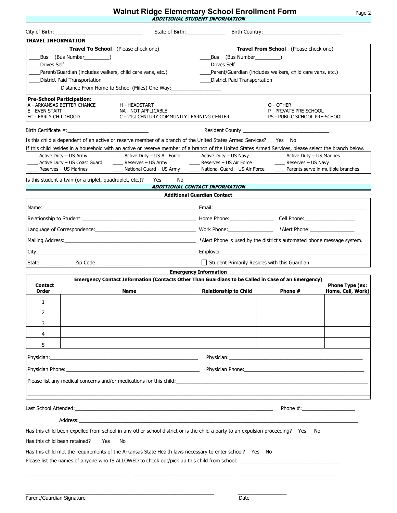# **Walnut Ridge Elementary School Enrollment Form** Page 2 **ADDITIONAL STUDENT INFORMATION**

|                                                                                                          | City of Birth: New York City of Birth:                                                          |                                                                                                                                                                                                                                                                                                                                                                                                                                   | State of Birth: Birth Country: Cambridge State of Birth Country:                                                                                                                                                              |                                                                                |                        |  |
|----------------------------------------------------------------------------------------------------------|-------------------------------------------------------------------------------------------------|-----------------------------------------------------------------------------------------------------------------------------------------------------------------------------------------------------------------------------------------------------------------------------------------------------------------------------------------------------------------------------------------------------------------------------------|-------------------------------------------------------------------------------------------------------------------------------------------------------------------------------------------------------------------------------|--------------------------------------------------------------------------------|------------------------|--|
| <b>TRAVEL INFORMATION</b>                                                                                |                                                                                                 |                                                                                                                                                                                                                                                                                                                                                                                                                                   |                                                                                                                                                                                                                               |                                                                                |                        |  |
| <b>Drives Self</b>                                                                                       | <b>Travel To School</b> (Please check one)<br>Bus (Bus Number )<br>District Paid Transportation | Parent/Guardian (includes walkers, child care vans, etc.)<br>Distance From Home to School (Miles) One Way:                                                                                                                                                                                                                                                                                                                        | <b>Travel From School</b> (Please check one)<br>Bus (Bus Number )<br><b>Drives Self</b><br>Parent/Guardian (includes walkers, child care vans, etc.)<br><b>District Paid Transportation</b>                                   |                                                                                |                        |  |
| <b>Pre-School Participation:</b><br>A - ARKANSAS BETTER CHANCE<br>E - EVEN START<br>EC - EARLY CHILDHOOD |                                                                                                 | H - HEADSTART<br>NA - NOT APPLICABLE<br>C - 21st CENTURY COMMUNITY LEARNING CENTER                                                                                                                                                                                                                                                                                                                                                |                                                                                                                                                                                                                               | O - OTHER<br>P - PRIVATE PRE-SCHOOL<br>PS - PUBLIC SCHOOL PRE-SCHOOL           |                        |  |
|                                                                                                          |                                                                                                 |                                                                                                                                                                                                                                                                                                                                                                                                                                   |                                                                                                                                                                                                                               |                                                                                |                        |  |
| Active Duty - US Army<br>Reserves - US Marines                                                           |                                                                                                 | Is this child a dependent of an active or reserve member of a branch of the United States Armed Services?<br>If this child resides in a household with an active or reserve member of a branch of the United States Armed Services, please select the branch below.<br>_____ Active Duty - US Air Force ______ Active Duty - US Navy<br>Active Duty - US Coast Guard _______ Reserves - US Army<br>_____ National Guard - US Army | _____ Reserves - US Air Force ______________ Reserves - US Navy<br>National Guard - US Air Force                                                                                                                              | Yes No<br>_____ Active Duty - US Marines<br>Parents serve in multiple branches |                        |  |
|                                                                                                          | Is this student a twin (or a triplet, quadruplet, etc.)?                                        | Yes<br>No                                                                                                                                                                                                                                                                                                                                                                                                                         |                                                                                                                                                                                                                               |                                                                                |                        |  |
|                                                                                                          |                                                                                                 |                                                                                                                                                                                                                                                                                                                                                                                                                                   | ADDITIONAL CONTACT INFORMATION                                                                                                                                                                                                |                                                                                |                        |  |
|                                                                                                          |                                                                                                 |                                                                                                                                                                                                                                                                                                                                                                                                                                   | <b>Additional Guardian Contact</b>                                                                                                                                                                                            |                                                                                |                        |  |
|                                                                                                          |                                                                                                 |                                                                                                                                                                                                                                                                                                                                                                                                                                   |                                                                                                                                                                                                                               |                                                                                |                        |  |
|                                                                                                          |                                                                                                 |                                                                                                                                                                                                                                                                                                                                                                                                                                   |                                                                                                                                                                                                                               |                                                                                |                        |  |
|                                                                                                          |                                                                                                 |                                                                                                                                                                                                                                                                                                                                                                                                                                   |                                                                                                                                                                                                                               |                                                                                |                        |  |
|                                                                                                          |                                                                                                 |                                                                                                                                                                                                                                                                                                                                                                                                                                   |                                                                                                                                                                                                                               |                                                                                |                        |  |
|                                                                                                          |                                                                                                 |                                                                                                                                                                                                                                                                                                                                                                                                                                   |                                                                                                                                                                                                                               |                                                                                |                        |  |
| State:__________                                                                                         |                                                                                                 |                                                                                                                                                                                                                                                                                                                                                                                                                                   | Student Primarily Resides with this Guardian.                                                                                                                                                                                 |                                                                                |                        |  |
| <b>Emergency Information</b>                                                                             |                                                                                                 |                                                                                                                                                                                                                                                                                                                                                                                                                                   |                                                                                                                                                                                                                               |                                                                                |                        |  |
| <b>Contact</b>                                                                                           |                                                                                                 | Emergency Contact Information (Contacts Other Than Guardians to be Called in Case of an Emergency)                                                                                                                                                                                                                                                                                                                                |                                                                                                                                                                                                                               |                                                                                | <b>Phone Type (ex:</b> |  |
| Order                                                                                                    |                                                                                                 | Name                                                                                                                                                                                                                                                                                                                                                                                                                              | <b>Relationship to Child</b>                                                                                                                                                                                                  | Phone #                                                                        | Home, Cell, Work)      |  |
| 1                                                                                                        |                                                                                                 |                                                                                                                                                                                                                                                                                                                                                                                                                                   |                                                                                                                                                                                                                               |                                                                                |                        |  |
| $\overline{2}$                                                                                           |                                                                                                 |                                                                                                                                                                                                                                                                                                                                                                                                                                   |                                                                                                                                                                                                                               |                                                                                |                        |  |
| 3                                                                                                        |                                                                                                 |                                                                                                                                                                                                                                                                                                                                                                                                                                   |                                                                                                                                                                                                                               |                                                                                |                        |  |
| 4                                                                                                        |                                                                                                 |                                                                                                                                                                                                                                                                                                                                                                                                                                   |                                                                                                                                                                                                                               |                                                                                |                        |  |
| 5                                                                                                        |                                                                                                 |                                                                                                                                                                                                                                                                                                                                                                                                                                   |                                                                                                                                                                                                                               |                                                                                |                        |  |
|                                                                                                          |                                                                                                 |                                                                                                                                                                                                                                                                                                                                                                                                                                   |                                                                                                                                                                                                                               |                                                                                |                        |  |
|                                                                                                          |                                                                                                 | Physician Phone: Note: 2008 and 2008 and 2008 and 2008 and 2008 and 2008 and 2008 and 2008 and 2008 and 2008 and 2008 and 2008 and 2008 and 2008 and 2008 and 2008 and 2008 and 2008 and 2008 and 2008 and 2008 and 2008 and 2                                                                                                                                                                                                    | Physician Phone: The Contract of the Contract of the Contract of the Contract of the Contract of the Contract of the Contract of the Contract of the Contract of the Contract of the Contract of the Contract of the Contract |                                                                                |                        |  |
|                                                                                                          |                                                                                                 | Please list any medical concerns and/or medications for this child:                                                                                                                                                                                                                                                                                                                                                               |                                                                                                                                                                                                                               |                                                                                |                        |  |
|                                                                                                          |                                                                                                 |                                                                                                                                                                                                                                                                                                                                                                                                                                   |                                                                                                                                                                                                                               | Phone $\#$ :                                                                   |                        |  |
|                                                                                                          |                                                                                                 | Address: the contract of the contract of the contract of the contract of the contract of the contract of the contract of the contract of the contract of the contract of the contract of the contract of the contract of the c                                                                                                                                                                                                    |                                                                                                                                                                                                                               |                                                                                |                        |  |
|                                                                                                          |                                                                                                 | Has this child been expelled from school in any other school district or is the child a party to an expulsion proceeding? Yes                                                                                                                                                                                                                                                                                                     |                                                                                                                                                                                                                               | No                                                                             |                        |  |
| Has this child been retained?                                                                            | Yes                                                                                             | No                                                                                                                                                                                                                                                                                                                                                                                                                                |                                                                                                                                                                                                                               |                                                                                |                        |  |
|                                                                                                          |                                                                                                 | Has this child met the requirements of the Arkansas State Health laws necessary to enter school? Yes No<br>Please list the names of anyone who IS ALLOWED to check out/pick up this child from school:                                                                                                                                                                                                                            |                                                                                                                                                                                                                               |                                                                                |                        |  |

\_\_\_\_\_\_\_\_\_\_\_\_\_\_\_\_\_\_\_\_\_\_\_\_\_\_\_\_\_\_\_\_\_\_\_\_\_\_\_\_\_\_\_\_\_\_\_\_\_\_\_\_\_\_ \_\_\_\_\_\_\_\_\_\_\_\_\_\_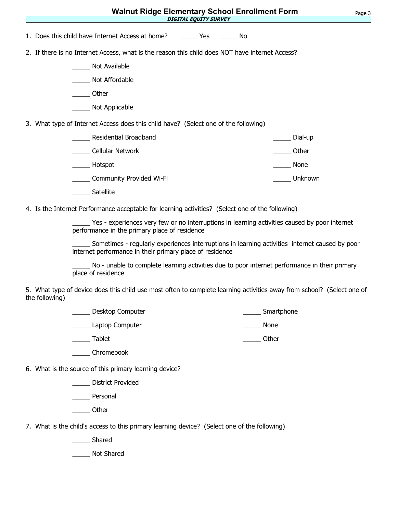| <b>Walnut Ridge Elementary School Enrollment Form</b>                                                                                                      | Page 3 |
|------------------------------------------------------------------------------------------------------------------------------------------------------------|--------|
| <b>DIGITAL EQUITY SURVEY</b>                                                                                                                               |        |
| 1. Does this child have Internet Access at home?<br>Yes<br>a No                                                                                            |        |
| 2. If there is no Internet Access, what is the reason this child does NOT have internet Access?                                                            |        |
| Not Available                                                                                                                                              |        |
| Not Affordable                                                                                                                                             |        |
| Other                                                                                                                                                      |        |
| Not Applicable                                                                                                                                             |        |
| 3. What type of Internet Access does this child have? (Select one of the following)                                                                        |        |
| Residential Broadband<br>Dial-up                                                                                                                           |        |
| <b>Cellular Network</b><br>Other                                                                                                                           |        |
| Hotspot<br>None                                                                                                                                            |        |
| Unknown<br>Community Provided Wi-Fi                                                                                                                        |        |
| Satellite                                                                                                                                                  |        |
| 4. Is the Internet Performance acceptable for learning activities? (Select one of the following)                                                           |        |
| Yes - experiences very few or no interruptions in learning activities caused by poor internet<br>performance in the primary place of residence             |        |
| Sometimes - regularly experiences interruptions in learning activities internet caused by poor<br>internet performance in their primary place of residence |        |
| No - unable to complete learning activities due to poor internet performance in their primary<br>place of residence                                        |        |
| 5. What type of device does this child use most often to complete learning activities away from school? (Select one of<br>the following)                   |        |
| Smartphone<br>Desktop Computer                                                                                                                             |        |
| Laptop Computer<br><b>None</b>                                                                                                                             |        |

\_\_\_\_\_\_ Tablet \_\_\_\_\_\_\_\_\_ Other

\_\_\_\_\_ Chromebook

6. What is the source of this primary learning device?

\_\_\_\_\_ District Provided

\_\_\_\_\_ Personal

\_\_\_\_\_ Other

7. What is the child's access to this primary learning device? (Select one of the following)

\_\_\_\_\_ Shared

\_\_\_\_\_ Not Shared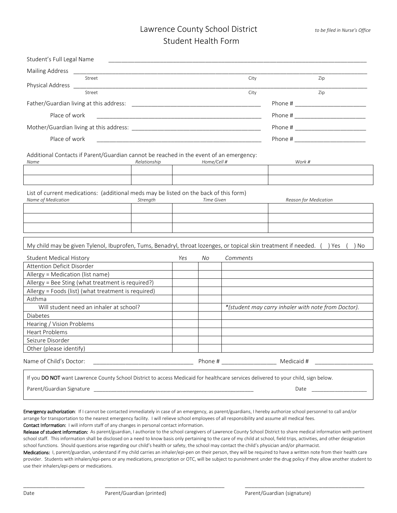| Student's Full Legal Name                                                                                                          |              |     |             |          |                                                     |
|------------------------------------------------------------------------------------------------------------------------------------|--------------|-----|-------------|----------|-----------------------------------------------------|
| Mailing Address<br><u>ــ</u> ـــــــــــــ                                                                                         |              |     |             |          |                                                     |
| Street                                                                                                                             |              |     |             | City     | Zip                                                 |
| Physical Address __<br>Street                                                                                                      |              |     |             | City     | Zip                                                 |
|                                                                                                                                    |              |     |             |          |                                                     |
| Place of work                                                                                                                      |              |     |             |          |                                                     |
|                                                                                                                                    |              |     |             |          |                                                     |
|                                                                                                                                    |              |     |             |          |                                                     |
| Place of work                                                                                                                      |              |     |             |          |                                                     |
| Additional Contacts if Parent/Guardian cannot be reached in the event of an emergency:                                             |              |     |             |          |                                                     |
| Name                                                                                                                               | Relationship |     | Home/Cell # |          | Work #                                              |
|                                                                                                                                    |              |     |             |          |                                                     |
|                                                                                                                                    |              |     |             |          |                                                     |
| List of current medications: (additional meds may be listed on the back of this form)                                              |              |     |             |          |                                                     |
| Name of Medication                                                                                                                 | Strength     |     | Time Given  |          | Reason for Medication                               |
|                                                                                                                                    |              |     |             |          |                                                     |
|                                                                                                                                    |              |     |             |          |                                                     |
|                                                                                                                                    |              |     |             |          |                                                     |
|                                                                                                                                    |              |     |             |          |                                                     |
| My child may be given Tylenol, Ibuprofen, Tums, Benadryl, throat lozenges, or topical skin treatment if needed. () Yes             |              |     |             |          | ) No                                                |
| <b>Student Medical History</b>                                                                                                     |              | Yes | No          | Comments |                                                     |
| Attention Deficit Disorder                                                                                                         |              |     |             |          |                                                     |
| Allergy = Medication (list name)                                                                                                   |              |     |             |          |                                                     |
| Allergy = Bee Sting (what treatment is required?)                                                                                  |              |     |             |          |                                                     |
| Allergy = Foods (list) (what treatment is required)                                                                                |              |     |             |          |                                                     |
| Asthma                                                                                                                             |              |     |             |          |                                                     |
| Will student need an inhaler at school?                                                                                            |              |     |             |          | *(student may carry inhaler with note from Doctor). |
| Diabetes                                                                                                                           |              |     |             |          |                                                     |
| Hearing / Vision Problems                                                                                                          |              |     |             |          |                                                     |
| <b>Heart Problems</b>                                                                                                              |              |     |             |          |                                                     |
| Seizure Disorder                                                                                                                   |              |     |             |          |                                                     |
| Other (please identify)                                                                                                            |              |     |             |          |                                                     |
| Name of Child's Doctor:                                                                                                            |              |     |             |          |                                                     |
| If you DO NOT want Lawrence County School District to access Medicaid for healthcare services delivered to your child, sign below. |              |     |             |          |                                                     |
| Parent/Guardian Signature                                                                                                          |              |     |             |          | Date                                                |
|                                                                                                                                    |              |     |             |          |                                                     |

Emergency authorization: If I cannot be contacted immediately in case of an emergency, as parent/guardians, I hereby authorize school personnel to call and/or arrange for transportation to the nearest emergency facility. I will relieve school employees of all responsibility and assume all medical fees. Contact Information: I will inform staff of any changes in personal contact information.

Release of student information: As parent/guardian, I authorize to the school caregivers of Lawrence County School District to share medical information with pertinent

school staff. This information shall be disclosed on a need to know basis only pertaining to the care of my child at school, field trips, activities, and other designation school functions. Should questions arise regarding our child's health or safety, the school may contact the child's physician and/or pharmacist.

Medications: I, parent/guardian, understand if my child carries an inhaler/epi-pen on their person, they will be required to have a written note from their health care provider. Students with inhalers/epi-pens or any medications, prescription or OTC, will be subject to punishment under the drug policy if they allow another student to use their inhalers/epi-pens or medications.

\_\_\_\_\_\_\_\_\_\_\_\_\_\_\_\_\_\_\_ \_\_\_\_\_\_\_\_\_\_\_\_\_\_\_\_\_\_\_\_\_\_\_\_\_\_\_\_\_\_\_\_\_\_\_\_\_ \_\_\_\_\_\_\_\_\_\_\_\_\_\_\_\_\_\_\_\_\_\_\_\_\_\_\_\_\_\_\_\_\_\_\_\_\_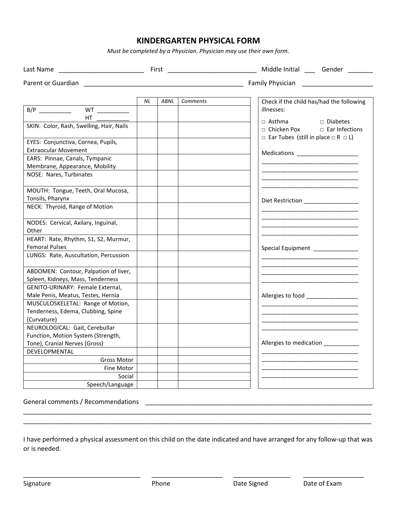#### **KINDERGARTEN PHYSICAL FORM**

*Must be completed by a Physician. Physician may use their own form.*

| Parent or Guardian                                               |    |      |          |                                                                                                           |
|------------------------------------------------------------------|----|------|----------|-----------------------------------------------------------------------------------------------------------|
|                                                                  | NL | ABNL | Comments | Check if the child has/had the following                                                                  |
| B/P _____________  WT ___________                                |    |      |          | illnesses:                                                                                                |
| HT.                                                              |    |      |          | $\Box$ Diabetes                                                                                           |
| SKIN: Color, Rash, Swelling, Hair, Nails                         |    |      |          | □ Asthma<br>□ Chicken Pox<br>$\Box$ Ear Infections<br>$\Box$ Ear Tubes (still in place $\Box$ R $\Box$ L) |
| EYES: Conjunctiva, Cornea, Pupils,                               |    |      |          |                                                                                                           |
| <b>Extraocular Movement</b>                                      |    |      |          |                                                                                                           |
| EARS: Pinnae, Canals, Tympanic<br>Membrane, Appearance, Mobility |    |      |          | Medications _______________________                                                                       |
| NOSE: Nares, Turbinates                                          |    |      |          |                                                                                                           |
| MOUTH: Tongue, Teeth, Oral Mucosa,                               |    |      |          |                                                                                                           |
| Tonsils, Pharynx                                                 |    |      |          |                                                                                                           |
| NECK: Thyroid, Range of Motion                                   |    |      |          |                                                                                                           |
| NODES: Cervical, Axilary, Inguinal,                              |    |      |          |                                                                                                           |
| Other                                                            |    |      |          |                                                                                                           |
| HEART: Rate, Rhythm, S1, S2, Murmur,                             |    |      |          |                                                                                                           |
| <b>Femoral Pulses</b>                                            |    |      |          |                                                                                                           |
| LUNGS: Rate, Auscultation, Percussion                            |    |      |          |                                                                                                           |
| ABDOMEN: Contour, Palpation of liver,                            |    |      |          |                                                                                                           |
| Spleen, Kidneys, Mass, Tenderness                                |    |      |          |                                                                                                           |
| GENITO-URINARY: Female External,                                 |    |      |          |                                                                                                           |
| Male Penis, Meatus, Testes, Hernia                               |    |      |          | Allergies to food ________________                                                                        |
| MUSCULOSKELETAL: Range of Motion,                                |    |      |          |                                                                                                           |
| Tenderness, Edema, Clubbing, Spine                               |    |      |          |                                                                                                           |
| (Curvature)                                                      |    |      |          |                                                                                                           |
| NEUROLOGICAL: Gait, Cerebullar                                   |    |      |          |                                                                                                           |
| Function, Motion System (Strength,                               |    |      |          |                                                                                                           |
| Tone), Cranial Nerves (Gross)                                    |    |      |          | Allergies to medication ___________                                                                       |
| DEVELOPMENTAL                                                    |    |      |          |                                                                                                           |
| <b>Gross Motor</b>                                               |    |      |          |                                                                                                           |
| <b>Fine Motor</b>                                                |    |      |          |                                                                                                           |
| Social                                                           |    |      |          |                                                                                                           |
| Speech/Language                                                  |    |      |          |                                                                                                           |

General comments / Recommendations

I have performed a physical assessment on this child on the date indicated and have arranged for any follow-up that was or is needed.

\_\_\_\_\_\_\_\_\_\_\_\_\_\_\_\_\_\_\_\_\_\_\_\_\_\_\_\_\_\_\_\_\_ \_\_\_\_\_\_\_\_\_\_\_\_\_\_\_\_\_\_\_\_ \_\_\_\_\_\_\_\_\_\_\_\_\_\_\_\_ \_\_\_\_\_\_\_\_\_\_\_\_\_\_\_\_\_

\_\_\_\_\_\_\_\_\_\_\_\_\_\_\_\_\_\_\_\_\_\_\_\_\_\_\_\_\_\_\_\_\_\_\_\_\_\_\_\_\_\_\_\_\_\_\_\_\_\_\_\_\_\_\_\_\_\_\_\_\_\_\_\_\_\_\_\_\_\_\_\_\_\_\_\_\_\_\_\_\_\_\_\_\_\_\_\_\_\_\_\_\_\_\_\_\_\_ \_\_\_\_\_\_\_\_\_\_\_\_\_\_\_\_\_\_\_\_\_\_\_\_\_\_\_\_\_\_\_\_\_\_\_\_\_\_\_\_\_\_\_\_\_\_\_\_\_\_\_\_\_\_\_\_\_\_\_\_\_\_\_\_\_\_\_\_\_\_\_\_\_\_\_\_\_\_\_\_\_\_\_\_\_\_\_\_\_\_\_\_\_\_\_\_\_\_